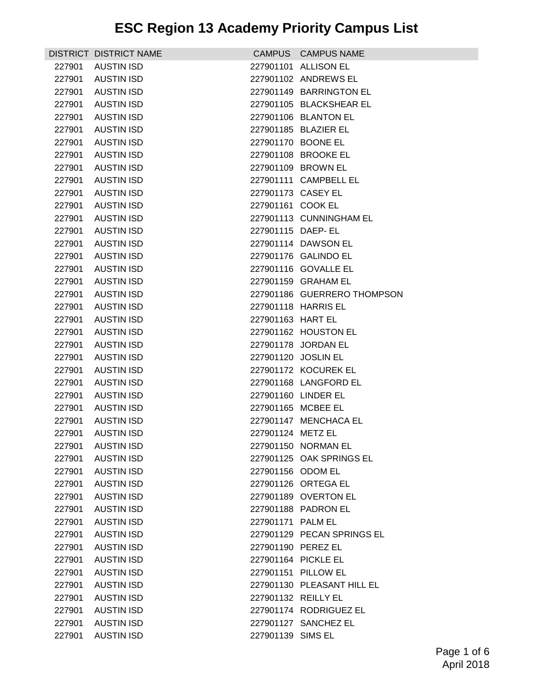|        | DISTRICT DISTRICT NAME |                    | CAMPUS CAMPUS NAME          |
|--------|------------------------|--------------------|-----------------------------|
| 227901 | AUSTIN ISD             |                    | 227901101 ALLISON EL        |
| 227901 | <b>AUSTIN ISD</b>      |                    | 227901102 ANDREWS EL        |
| 227901 | AUSTIN ISD             |                    | 227901149 BARRINGTON EL     |
| 227901 | <b>AUSTIN ISD</b>      |                    | 227901105 BLACKSHEAR EL     |
| 227901 | <b>AUSTIN ISD</b>      |                    | 227901106 BLANTON EL        |
| 227901 | <b>AUSTIN ISD</b>      |                    | 227901185 BLAZIER EL        |
| 227901 | <b>AUSTIN ISD</b>      |                    | 227901170 BOONE EL          |
| 227901 | AUSTIN ISD             |                    | 227901108 BROOKE EL         |
| 227901 | AUSTIN ISD             |                    | 227901109 BROWN EL          |
| 227901 | <b>AUSTIN ISD</b>      |                    | 227901111 CAMPBELL EL       |
| 227901 | <b>AUSTIN ISD</b>      | 227901173 CASEY EL |                             |
| 227901 | <b>AUSTIN ISD</b>      | 227901161 COOK EL  |                             |
| 227901 | <b>AUSTIN ISD</b>      |                    | 227901113 CUNNINGHAM EL     |
| 227901 | AUSTIN ISD             | 227901115 DAEP- EL |                             |
| 227901 | AUSTIN ISD             |                    | 227901114 DAWSON EL         |
| 227901 | <b>AUSTIN ISD</b>      |                    | 227901176 GALINDO EL        |
| 227901 | <b>AUSTIN ISD</b>      |                    | 227901116 GOVALLE EL        |
| 227901 | <b>AUSTIN ISD</b>      |                    | 227901159 GRAHAM EL         |
| 227901 | <b>AUSTIN ISD</b>      |                    | 227901186 GUERRERO THOMPSON |
| 227901 | AUSTIN ISD             |                    | 227901118 HARRIS EL         |
| 227901 | <b>AUSTIN ISD</b>      | 227901163 HART EL  |                             |
| 227901 | <b>AUSTIN ISD</b>      |                    | 227901162 HOUSTON EL        |
| 227901 | <b>AUSTIN ISD</b>      |                    | 227901178 JORDAN EL         |
| 227901 | <b>AUSTIN ISD</b>      |                    | 227901120 JOSLIN EL         |
| 227901 | <b>AUSTIN ISD</b>      |                    | 227901172 KOCUREK EL        |
| 227901 | <b>AUSTIN ISD</b>      |                    | 227901168 LANGFORD EL       |
| 227901 | AUSTIN ISD             |                    | 227901160 LINDER EL         |
| 227901 | AUSTIN ISD             |                    | 227901165 MCBEE EL          |
| 227901 | <b>AUSTIN ISD</b>      |                    | 227901147 MENCHACA EL       |
| 227901 | <b>AUSTIN ISD</b>      | 227901124 METZ EL  |                             |
| 227901 | <b>AUSTIN ISD</b>      |                    | 227901150 NORMAN EL         |
| 227901 | <b>AUSTIN ISD</b>      |                    | 227901125 OAK SPRINGS EL    |
| 227901 | <b>AUSTIN ISD</b>      | 227901156 ODOM EL  |                             |
| 227901 | <b>AUSTIN ISD</b>      |                    | 227901126 ORTEGA EL         |
| 227901 | <b>AUSTIN ISD</b>      |                    | 227901189 OVERTON EL        |
| 227901 | <b>AUSTIN ISD</b>      |                    | 227901188 PADRON EL         |
| 227901 | <b>AUSTIN ISD</b>      | 227901171 PALM EL  |                             |
| 227901 | <b>AUSTIN ISD</b>      |                    | 227901129 PECAN SPRINGS EL  |
| 227901 | <b>AUSTIN ISD</b>      | 227901190 PEREZ EL |                             |
| 227901 | <b>AUSTIN ISD</b>      |                    | 227901164 PICKLE EL         |
| 227901 | <b>AUSTIN ISD</b>      |                    | 227901151 PILLOW EL         |
| 227901 | <b>AUSTIN ISD</b>      |                    | 227901130 PLEASANT HILL EL  |
| 227901 | <b>AUSTIN ISD</b>      |                    | 227901132 REILLY EL         |
| 227901 | <b>AUSTIN ISD</b>      |                    | 227901174 RODRIGUEZ EL      |
| 227901 | <b>AUSTIN ISD</b>      |                    | 227901127 SANCHEZ EL        |
| 227901 | <b>AUSTIN ISD</b>      | 227901139 SIMS EL  |                             |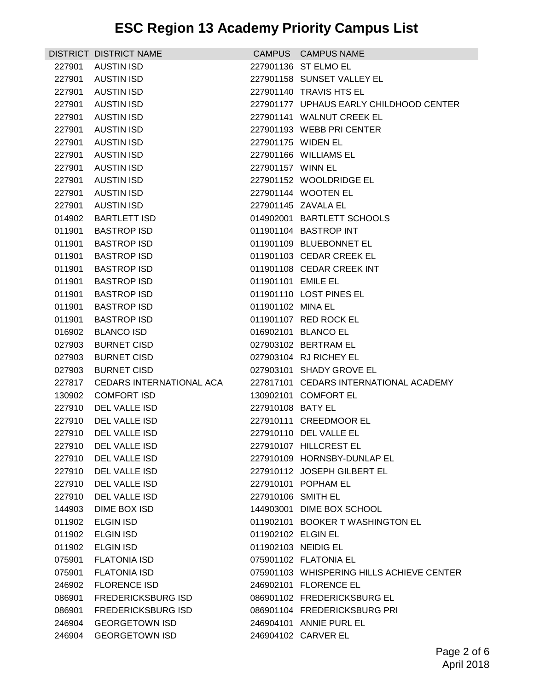|                  | DISTRICT DISTRICT NAME         |                     | CAMPUS CAMPUS NAME                               |
|------------------|--------------------------------|---------------------|--------------------------------------------------|
| 227901           | AUSTIN ISD                     |                     | 227901136 ST ELMO EL                             |
| 227901           | AUSTIN ISD                     |                     | 227901158 SUNSET VALLEY EL                       |
| 227901           | AUSTIN ISD                     |                     | 227901140 TRAVIS HTS EL                          |
| 227901           | AUSTIN ISD                     |                     | 227901177 UPHAUS EARLY CHILDHOOD CENTER          |
| 227901           | AUSTIN ISD                     |                     | 227901141 WALNUT CREEK EL                        |
| 227901           | AUSTIN ISD                     |                     | 227901193 WEBB PRI CENTER                        |
| 227901           | <b>AUSTIN ISD</b>              | 227901175 WIDEN EL  |                                                  |
| 227901           | AUSTIN ISD                     |                     | 227901166 WILLIAMS EL                            |
| 227901           | AUSTIN ISD                     | 227901157 WINN EL   |                                                  |
| 227901           | AUSTIN ISD                     |                     | 227901152 WOOLDRIDGE EL                          |
| 227901           | AUSTIN ISD                     |                     | 227901144 WOOTEN EL                              |
| 227901           | <b>AUSTIN ISD</b>              |                     | 227901145 ZAVALA EL                              |
| 014902           | <b>BARTLETT ISD</b>            |                     | 014902001 BARTLETT SCHOOLS                       |
| 011901           | <b>BASTROP ISD</b>             |                     | 011901104 BASTROP INT                            |
| 011901           | <b>BASTROP ISD</b>             |                     | 011901109 BLUEBONNET EL                          |
| 011901           | <b>BASTROP ISD</b>             |                     | 011901103 CEDAR CREEK EL                         |
| 011901           | <b>BASTROP ISD</b>             |                     | 011901108 CEDAR CREEK INT                        |
| 011901           | <b>BASTROP ISD</b>             | 011901101 EMILE EL  |                                                  |
| 011901           | <b>BASTROP ISD</b>             |                     | 011901110 LOST PINES EL                          |
| 011901           | <b>BASTROP ISD</b>             | 011901102 MINA EL   |                                                  |
| 011901           | <b>BASTROP ISD</b>             |                     | 011901107 RED ROCK EL                            |
| 016902           | <b>BLANCO ISD</b>              |                     | 016902101 BLANCO EL                              |
| 027903           | <b>BURNET CISD</b>             |                     | 027903102 BERTRAM EL                             |
| 027903           | <b>BURNET CISD</b>             |                     | 027903104 RJ RICHEY EL                           |
| 027903           | <b>BURNET CISD</b>             |                     | 027903101 SHADY GROVE EL                         |
| 227817           | CEDARS INTERNATIONAL ACA       |                     | 227817101 CEDARS INTERNATIONAL ACADEMY           |
| 130902           | <b>COMFORT ISD</b>             |                     | 130902101 COMFORT EL                             |
| 227910           | DEL VALLE ISD                  | 227910108 BATY EL   |                                                  |
| 227910<br>227910 | DEL VALLE ISD<br>DEL VALLE ISD |                     | 227910111 CREEDMOOR EL<br>227910110 DEL VALLE EL |
|                  | 227910 DEL VALLE ISD           |                     | 227910107 HILLCREST EL                           |
| 227910           | DEL VALLE ISD                  |                     | 227910109 HORNSBY-DUNLAP EL                      |
| 227910           | DEL VALLE ISD                  |                     | 227910112 JOSEPH GILBERT EL                      |
| 227910           | DEL VALLE ISD                  |                     | 227910101 POPHAM EL                              |
| 227910           | DEL VALLE ISD                  | 227910106 SMITH EL  |                                                  |
| 144903           | DIME BOX ISD                   |                     | 144903001 DIME BOX SCHOOL                        |
| 011902           | <b>ELGIN ISD</b>               |                     | 011902101 BOOKER T WASHINGTON EL                 |
| 011902           | <b>ELGIN ISD</b>               | 011902102 ELGIN EL  |                                                  |
| 011902           | ELGIN ISD                      | 011902103 NEIDIG EL |                                                  |
| 075901           | <b>FLATONIA ISD</b>            |                     | 075901102 FLATONIA EL                            |
| 075901           | <b>FLATONIA ISD</b>            |                     | 075901103 WHISPERING HILLS ACHIEVE CENTER        |
| 246902           | <b>FLORENCE ISD</b>            |                     | 246902101 FLORENCE EL                            |
| 086901           | <b>FREDERICKSBURG ISD</b>      |                     | 086901102 FREDERICKSBURG EL                      |
| 086901           | FREDERICKSBURG ISD             |                     | 086901104 FREDERICKSBURG PRI                     |
| 246904           | <b>GEORGETOWN ISD</b>          |                     | 246904101 ANNIE PURL EL                          |
| 246904           | <b>GEORGETOWN ISD</b>          |                     | 246904102 CARVER EL                              |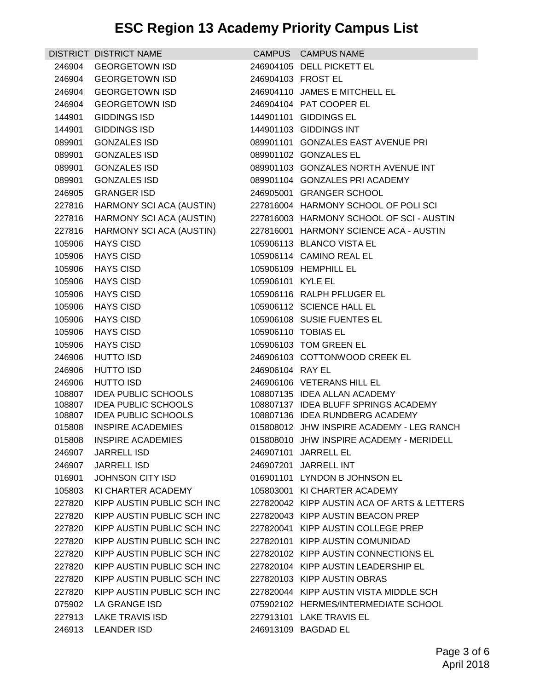| <b>GEORGETOWN ISD</b><br>246904105 DELL PICKETT EL<br>246904<br><b>GEORGETOWN ISD</b><br>246904103 FROST EL<br>246904<br>246904110 JAMES E MITCHELL EL<br>246904<br><b>GEORGETOWN ISD</b><br>246904<br><b>GEORGETOWN ISD</b><br>246904104 PAT COOPER EL<br>144901<br><b>GIDDINGS ISD</b><br>144901101 GIDDINGS EL<br><b>GIDDINGS ISD</b><br>144901103 GIDDINGS INT<br>144901<br><b>GONZALES ISD</b><br>089901101 GONZALES EAST AVENUE PRI<br>089901<br>089901<br><b>GONZALES ISD</b><br>089901102 GONZALES EL<br>089901<br><b>GONZALES ISD</b><br>089901103 GONZALES NORTH AVENUE INT<br><b>GONZALES ISD</b><br>089901104 GONZALES PRI ACADEMY<br>089901<br><b>GRANGER ISD</b><br>246905<br>246905001 GRANGER SCHOOL<br>HARMONY SCI ACA (AUSTIN)<br>227816004 HARMONY SCHOOL OF POLISCI<br>227816<br>HARMONY SCI ACA (AUSTIN)<br>227816003 HARMONY SCHOOL OF SCI - AUSTIN<br>227816<br>227816001 HARMONY SCIENCE ACA - AUSTIN<br>227816<br>HARMONY SCI ACA (AUSTIN)<br>105906<br><b>HAYS CISD</b><br>105906113 BLANCO VISTA EL<br>105906114 CAMINO REAL EL<br>105906<br><b>HAYS CISD</b><br><b>HAYS CISD</b><br>105906109 HEMPHILL EL<br>105906<br>105906<br><b>HAYS CISD</b><br>105906101 KYLE EL |
|----------------------------------------------------------------------------------------------------------------------------------------------------------------------------------------------------------------------------------------------------------------------------------------------------------------------------------------------------------------------------------------------------------------------------------------------------------------------------------------------------------------------------------------------------------------------------------------------------------------------------------------------------------------------------------------------------------------------------------------------------------------------------------------------------------------------------------------------------------------------------------------------------------------------------------------------------------------------------------------------------------------------------------------------------------------------------------------------------------------------------------------------------------------------------------------------------|
|                                                                                                                                                                                                                                                                                                                                                                                                                                                                                                                                                                                                                                                                                                                                                                                                                                                                                                                                                                                                                                                                                                                                                                                                    |
|                                                                                                                                                                                                                                                                                                                                                                                                                                                                                                                                                                                                                                                                                                                                                                                                                                                                                                                                                                                                                                                                                                                                                                                                    |
|                                                                                                                                                                                                                                                                                                                                                                                                                                                                                                                                                                                                                                                                                                                                                                                                                                                                                                                                                                                                                                                                                                                                                                                                    |
|                                                                                                                                                                                                                                                                                                                                                                                                                                                                                                                                                                                                                                                                                                                                                                                                                                                                                                                                                                                                                                                                                                                                                                                                    |
|                                                                                                                                                                                                                                                                                                                                                                                                                                                                                                                                                                                                                                                                                                                                                                                                                                                                                                                                                                                                                                                                                                                                                                                                    |
|                                                                                                                                                                                                                                                                                                                                                                                                                                                                                                                                                                                                                                                                                                                                                                                                                                                                                                                                                                                                                                                                                                                                                                                                    |
|                                                                                                                                                                                                                                                                                                                                                                                                                                                                                                                                                                                                                                                                                                                                                                                                                                                                                                                                                                                                                                                                                                                                                                                                    |
|                                                                                                                                                                                                                                                                                                                                                                                                                                                                                                                                                                                                                                                                                                                                                                                                                                                                                                                                                                                                                                                                                                                                                                                                    |
|                                                                                                                                                                                                                                                                                                                                                                                                                                                                                                                                                                                                                                                                                                                                                                                                                                                                                                                                                                                                                                                                                                                                                                                                    |
|                                                                                                                                                                                                                                                                                                                                                                                                                                                                                                                                                                                                                                                                                                                                                                                                                                                                                                                                                                                                                                                                                                                                                                                                    |
|                                                                                                                                                                                                                                                                                                                                                                                                                                                                                                                                                                                                                                                                                                                                                                                                                                                                                                                                                                                                                                                                                                                                                                                                    |
|                                                                                                                                                                                                                                                                                                                                                                                                                                                                                                                                                                                                                                                                                                                                                                                                                                                                                                                                                                                                                                                                                                                                                                                                    |
|                                                                                                                                                                                                                                                                                                                                                                                                                                                                                                                                                                                                                                                                                                                                                                                                                                                                                                                                                                                                                                                                                                                                                                                                    |
|                                                                                                                                                                                                                                                                                                                                                                                                                                                                                                                                                                                                                                                                                                                                                                                                                                                                                                                                                                                                                                                                                                                                                                                                    |
|                                                                                                                                                                                                                                                                                                                                                                                                                                                                                                                                                                                                                                                                                                                                                                                                                                                                                                                                                                                                                                                                                                                                                                                                    |
|                                                                                                                                                                                                                                                                                                                                                                                                                                                                                                                                                                                                                                                                                                                                                                                                                                                                                                                                                                                                                                                                                                                                                                                                    |
|                                                                                                                                                                                                                                                                                                                                                                                                                                                                                                                                                                                                                                                                                                                                                                                                                                                                                                                                                                                                                                                                                                                                                                                                    |
|                                                                                                                                                                                                                                                                                                                                                                                                                                                                                                                                                                                                                                                                                                                                                                                                                                                                                                                                                                                                                                                                                                                                                                                                    |
| 105906<br><b>HAYS CISD</b><br>105906116 RALPH PFLUGER EL                                                                                                                                                                                                                                                                                                                                                                                                                                                                                                                                                                                                                                                                                                                                                                                                                                                                                                                                                                                                                                                                                                                                           |
| 105906112 SCIENCE HALL EL<br><b>HAYS CISD</b><br>105906                                                                                                                                                                                                                                                                                                                                                                                                                                                                                                                                                                                                                                                                                                                                                                                                                                                                                                                                                                                                                                                                                                                                            |
| 105906108 SUSIE FUENTES EL<br>105906<br><b>HAYS CISD</b>                                                                                                                                                                                                                                                                                                                                                                                                                                                                                                                                                                                                                                                                                                                                                                                                                                                                                                                                                                                                                                                                                                                                           |
| 105906<br><b>HAYS CISD</b><br>105906110 TOBIAS EL                                                                                                                                                                                                                                                                                                                                                                                                                                                                                                                                                                                                                                                                                                                                                                                                                                                                                                                                                                                                                                                                                                                                                  |
| 105906103 TOM GREEN EL<br>105906<br><b>HAYS CISD</b>                                                                                                                                                                                                                                                                                                                                                                                                                                                                                                                                                                                                                                                                                                                                                                                                                                                                                                                                                                                                                                                                                                                                               |
| 246906103 COTTONWOOD CREEK EL<br>246906<br><b>HUTTO ISD</b>                                                                                                                                                                                                                                                                                                                                                                                                                                                                                                                                                                                                                                                                                                                                                                                                                                                                                                                                                                                                                                                                                                                                        |
| 246906<br><b>HUTTO ISD</b><br>246906104 RAY EL                                                                                                                                                                                                                                                                                                                                                                                                                                                                                                                                                                                                                                                                                                                                                                                                                                                                                                                                                                                                                                                                                                                                                     |
| <b>HUTTO ISD</b><br>246906<br>246906106 VETERANS HILL EL                                                                                                                                                                                                                                                                                                                                                                                                                                                                                                                                                                                                                                                                                                                                                                                                                                                                                                                                                                                                                                                                                                                                           |
| <b>IDEA PUBLIC SCHOOLS</b><br>108807<br>108807135 IDEA ALLAN ACADEMY                                                                                                                                                                                                                                                                                                                                                                                                                                                                                                                                                                                                                                                                                                                                                                                                                                                                                                                                                                                                                                                                                                                               |
| <b>IDEA PUBLIC SCHOOLS</b><br>108807<br>108807137 IDEA BLUFF SPRINGS ACADEMY<br>108807<br><b>IDEA PUBLIC SCHOOLS</b><br>108807136 IDEA RUNDBERG ACADEMY                                                                                                                                                                                                                                                                                                                                                                                                                                                                                                                                                                                                                                                                                                                                                                                                                                                                                                                                                                                                                                            |
| 015808<br><b>INSPIRE ACADEMIES</b><br>015808012 JHW INSPIRE ACADEMY - LEG RANCH                                                                                                                                                                                                                                                                                                                                                                                                                                                                                                                                                                                                                                                                                                                                                                                                                                                                                                                                                                                                                                                                                                                    |
| 015808010 JHW INSPIRE ACADEMY - MERIDELL<br><b>INSPIRE ACADEMIES</b><br>015808                                                                                                                                                                                                                                                                                                                                                                                                                                                                                                                                                                                                                                                                                                                                                                                                                                                                                                                                                                                                                                                                                                                     |
| <b>JARRELL ISD</b><br>246907101 JARRELL EL<br>246907                                                                                                                                                                                                                                                                                                                                                                                                                                                                                                                                                                                                                                                                                                                                                                                                                                                                                                                                                                                                                                                                                                                                               |
| <b>JARRELL ISD</b><br>246907201 JARRELL INT<br>246907                                                                                                                                                                                                                                                                                                                                                                                                                                                                                                                                                                                                                                                                                                                                                                                                                                                                                                                                                                                                                                                                                                                                              |
| JOHNSON CITY ISD<br>016901101 LYNDON B JOHNSON EL<br>016901                                                                                                                                                                                                                                                                                                                                                                                                                                                                                                                                                                                                                                                                                                                                                                                                                                                                                                                                                                                                                                                                                                                                        |
| 105803<br>KI CHARTER ACADEMY<br>105803001 KI CHARTER ACADEMY                                                                                                                                                                                                                                                                                                                                                                                                                                                                                                                                                                                                                                                                                                                                                                                                                                                                                                                                                                                                                                                                                                                                       |
| KIPP AUSTIN PUBLIC SCH INC<br>227820042 KIPP AUSTIN ACA OF ARTS & LETTERS<br>227820                                                                                                                                                                                                                                                                                                                                                                                                                                                                                                                                                                                                                                                                                                                                                                                                                                                                                                                                                                                                                                                                                                                |
| 227820043 KIPP AUSTIN BEACON PREP<br>KIPP AUSTIN PUBLIC SCH INC<br>227820                                                                                                                                                                                                                                                                                                                                                                                                                                                                                                                                                                                                                                                                                                                                                                                                                                                                                                                                                                                                                                                                                                                          |
| KIPP AUSTIN PUBLIC SCH INC<br>227820041 KIPP AUSTIN COLLEGE PREP<br>227820                                                                                                                                                                                                                                                                                                                                                                                                                                                                                                                                                                                                                                                                                                                                                                                                                                                                                                                                                                                                                                                                                                                         |
| KIPP AUSTIN PUBLIC SCH INC<br>227820101 KIPP AUSTIN COMUNIDAD<br>227820                                                                                                                                                                                                                                                                                                                                                                                                                                                                                                                                                                                                                                                                                                                                                                                                                                                                                                                                                                                                                                                                                                                            |
| KIPP AUSTIN PUBLIC SCH INC<br>227820102 KIPP AUSTIN CONNECTIONS EL<br>227820                                                                                                                                                                                                                                                                                                                                                                                                                                                                                                                                                                                                                                                                                                                                                                                                                                                                                                                                                                                                                                                                                                                       |
| KIPP AUSTIN PUBLIC SCH INC<br>227820104 KIPP AUSTIN LEADERSHIP EL<br>227820                                                                                                                                                                                                                                                                                                                                                                                                                                                                                                                                                                                                                                                                                                                                                                                                                                                                                                                                                                                                                                                                                                                        |
| KIPP AUSTIN PUBLIC SCH INC<br>227820103 KIPP AUSTIN OBRAS<br>227820                                                                                                                                                                                                                                                                                                                                                                                                                                                                                                                                                                                                                                                                                                                                                                                                                                                                                                                                                                                                                                                                                                                                |
| KIPP AUSTIN PUBLIC SCH INC<br>227820044 KIPP AUSTIN VISTA MIDDLE SCH<br>227820                                                                                                                                                                                                                                                                                                                                                                                                                                                                                                                                                                                                                                                                                                                                                                                                                                                                                                                                                                                                                                                                                                                     |
| LA GRANGE ISD<br>075902102 HERMES/INTERMEDIATE SCHOOL<br>075902                                                                                                                                                                                                                                                                                                                                                                                                                                                                                                                                                                                                                                                                                                                                                                                                                                                                                                                                                                                                                                                                                                                                    |
| 227913<br><b>LAKE TRAVIS ISD</b><br>227913101 LAKE TRAVIS EL                                                                                                                                                                                                                                                                                                                                                                                                                                                                                                                                                                                                                                                                                                                                                                                                                                                                                                                                                                                                                                                                                                                                       |
| <b>LEANDER ISD</b><br>246913<br>246913109 BAGDAD EL                                                                                                                                                                                                                                                                                                                                                                                                                                                                                                                                                                                                                                                                                                                                                                                                                                                                                                                                                                                                                                                                                                                                                |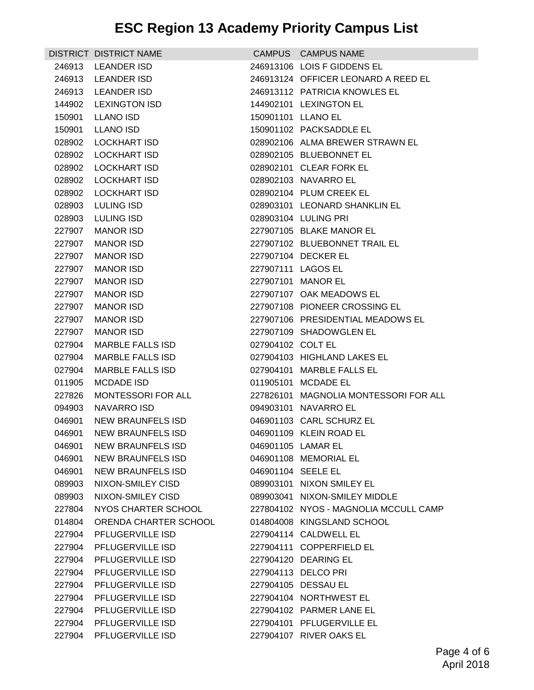|        | DISTRICT DISTRICT NAME    |                    | CAMPUS CAMPUS NAME                    |
|--------|---------------------------|--------------------|---------------------------------------|
| 246913 | LEANDER ISD               |                    | 246913106 LOIS F GIDDENS EL           |
|        | 246913 LEANDER ISD        |                    | 246913124 OFFICER LEONARD A REED EL   |
|        | 246913 LEANDER ISD        |                    | 246913112 PATRICIA KNOWLES EL         |
|        | 144902 LEXINGTON ISD      |                    | 144902101 LEXINGTON EL                |
|        | 150901 LLANO ISD          | 150901101 LLANO EL |                                       |
| 150901 | LLANO ISD                 |                    | 150901102 PACKSADDLE EL               |
| 028902 | LOCKHART ISD              |                    | 028902106 ALMA BREWER STRAWN EL       |
| 028902 | LOCKHART ISD              |                    | 028902105 BLUEBONNET EL               |
|        | 028902 LOCKHART ISD       |                    | 028902101 CLEAR FORK EL               |
|        | 028902 LOCKHART ISD       |                    | 028902103 NAVARRO EL                  |
|        | 028902 LOCKHART ISD       |                    | 028902104 PLUM CREEK EL               |
| 028903 | LULING ISD                |                    | 028903101 LEONARD SHANKLIN EL         |
|        | 028903 LULING ISD         |                    | 028903104 LULING PRI                  |
|        | 227907 MANOR ISD          |                    | 227907105 BLAKE MANOR EL              |
| 227907 | <b>MANOR ISD</b>          |                    | 227907102 BLUEBONNET TRAIL EL         |
| 227907 | <b>MANOR ISD</b>          |                    | 227907104 DECKER EL                   |
| 227907 | <b>MANOR ISD</b>          |                    | 227907111 LAGOS EL                    |
| 227907 | <b>MANOR ISD</b>          |                    | 227907101 MANOR EL                    |
| 227907 | <b>MANOR ISD</b>          |                    | 227907107 OAK MEADOWS EL              |
| 227907 | <b>MANOR ISD</b>          |                    | 227907108 PIONEER CROSSING EL         |
| 227907 | <b>MANOR ISD</b>          |                    | 227907106 PRESIDENTIAL MEADOWS EL     |
| 227907 | <b>MANOR ISD</b>          |                    | 227907109 SHADOWGLEN EL               |
| 027904 | MARBLE FALLS ISD          | 027904102 COLT EL  |                                       |
| 027904 | MARBLE FALLS ISD          |                    | 027904103 HIGHLAND LAKES EL           |
| 027904 | <b>MARBLE FALLS ISD</b>   |                    | 027904101 MARBLE FALLS EL             |
| 011905 | <b>MCDADE ISD</b>         |                    | 011905101 MCDADE EL                   |
| 227826 | <b>MONTESSORI FOR ALL</b> |                    | 227826101 MAGNOLIA MONTESSORI FOR ALL |
| 094903 | NAVARRO ISD               |                    | 094903101 NAVARRO EL                  |
| 046901 | NEW BRAUNFELS ISD         |                    | 046901103 CARL SCHURZ EL              |
|        | 046901 NEW BRAUNFELS ISD  |                    | 046901109 KLEIN ROAD EL               |
|        | 046901 NEW BRAUNFELS ISD  |                    | 046901105 LAMAR EL                    |
| 046901 | <b>NEW BRAUNFELS ISD</b>  |                    | 046901108 MEMORIAL EL                 |
| 046901 | NEW BRAUNFELS ISD         | 046901104 SEELE EL |                                       |
| 089903 | NIXON-SMILEY CISD         |                    | 089903101 NIXON SMILEY EL             |
| 089903 | NIXON-SMILEY CISD         |                    | 089903041 NIXON-SMILEY MIDDLE         |
| 227804 | NYOS CHARTER SCHOOL       |                    | 227804102 NYOS - MAGNOLIA MCCULL CAMP |
| 014804 | ORENDA CHARTER SCHOOL     |                    | 014804008 KINGSLAND SCHOOL            |
| 227904 | <b>PFLUGERVILLE ISD</b>   |                    | 227904114 CALDWELL EL                 |
| 227904 | PFLUGERVILLE ISD          |                    | 227904111 COPPERFIELD EL              |
| 227904 | PFLUGERVILLE ISD          |                    | 227904120 DEARING EL                  |
| 227904 | PFLUGERVILLE ISD          |                    | 227904113 DELCO PRI                   |
| 227904 | PFLUGERVILLE ISD          |                    | 227904105 DESSAU EL                   |
| 227904 | PFLUGERVILLE ISD          |                    | 227904104 NORTHWEST EL                |
| 227904 | PFLUGERVILLE ISD          |                    | 227904102 PARMER LANE EL              |
| 227904 | PFLUGERVILLE ISD          |                    | 227904101 PFLUGERVILLE EL             |
| 227904 | PFLUGERVILLE ISD          |                    | 227904107 RIVER OAKS EL               |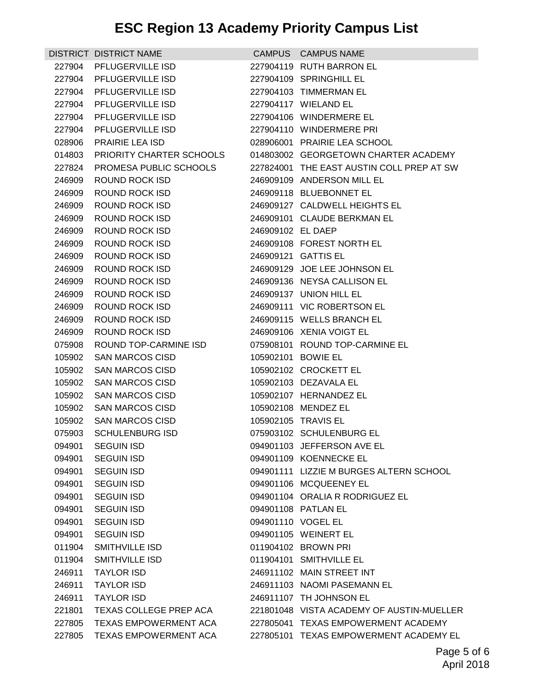|        | DISTRICT DISTRICT NAME                           |                   | CAMPUS CAMPUS NAME                            |
|--------|--------------------------------------------------|-------------------|-----------------------------------------------|
| 227904 | PFLUGERVILLE ISD                                 |                   | 227904119 RUTH BARRON EL                      |
| 227904 | PFLUGERVILLE ISD                                 |                   | 227904109 SPRINGHILL EL                       |
| 227904 | <b>PFLUGERVILLE ISD</b>                          |                   | 227904103 TIMMERMAN EL                        |
| 227904 | <b>PFLUGERVILLE ISD</b>                          |                   | 227904117 WIELAND EL                          |
|        | 227904 PFLUGERVILLE ISD                          |                   | 227904106 WINDERMERE EL                       |
| 227904 | PFLUGERVILLE ISD                                 |                   | 227904110 WINDERMERE PRI                      |
| 028906 | <b>PRAIRIE LEA ISD</b>                           |                   | 028906001 PRAIRIE LEA SCHOOL                  |
| 014803 | PRIORITY CHARTER SCHOOLS                         |                   | 014803002 GEORGETOWN CHARTER ACADEMY          |
| 227824 | PROMESA PUBLIC SCHOOLS                           |                   | 227824001 THE EAST AUSTIN COLL PREP AT SW     |
| 246909 | ROUND ROCK ISD                                   |                   | 246909109 ANDERSON MILL EL                    |
| 246909 | ROUND ROCK ISD                                   |                   | 246909118 BLUEBONNET EL                       |
| 246909 | ROUND ROCK ISD                                   |                   | 246909127 CALDWELL HEIGHTS EL                 |
| 246909 | ROUND ROCK ISD                                   |                   | 246909101 CLAUDE BERKMAN EL                   |
| 246909 | ROUND ROCK ISD                                   | 246909102 EL DAEP |                                               |
| 246909 | ROUND ROCK ISD                                   |                   | 246909108 FOREST NORTH EL                     |
| 246909 | ROUND ROCK ISD                                   |                   | 246909121 GATTIS EL                           |
| 246909 | ROUND ROCK ISD                                   |                   | 246909129 JOE LEE JOHNSON EL                  |
| 246909 | ROUND ROCK ISD                                   |                   | 246909136 NEYSA CALLISON EL                   |
| 246909 | ROUND ROCK ISD                                   |                   | 246909137 UNION HILL EL                       |
| 246909 | ROUND ROCK ISD                                   |                   | 246909111 VIC ROBERTSON EL                    |
| 246909 | ROUND ROCK ISD                                   |                   | 246909115 WELLS BRANCH EL                     |
| 246909 | ROUND ROCK ISD                                   |                   | 246909106 XENIA VOIGT EL                      |
| 075908 | ROUND TOP-CARMINE ISD                            |                   | 075908101 ROUND TOP-CARMINE EL                |
| 105902 | SAN MARCOS CISD                                  |                   | 105902101 BOWIE EL                            |
| 105902 | <b>SAN MARCOS CISD</b>                           |                   | 105902102 CROCKETT EL                         |
| 105902 | <b>SAN MARCOS CISD</b>                           |                   | 105902103 DEZAVALA EL                         |
| 105902 | <b>SAN MARCOS CISD</b>                           |                   | 105902107 HERNANDEZ EL<br>105902108 MENDEZ EL |
|        | 105902 SAN MARCOS CISD<br>105902 SAN MARCOS CISD |                   | 105902105 TRAVIS EL                           |
|        | 075903 SCHULENBURG ISD                           |                   | 075903102 SCHULENBURG EL                      |
|        | 094901 SEGUIN ISD                                |                   | 094901103 JEFFERSON AVE EL                    |
| 094901 | <b>SEGUIN ISD</b>                                |                   | 094901109 KOENNECKE EL                        |
| 094901 | <b>SEGUIN ISD</b>                                |                   | 094901111 LIZZIE M BURGES ALTERN SCHOOL       |
| 094901 | <b>SEGUIN ISD</b>                                |                   | 094901106 MCQUEENEY EL                        |
| 094901 | <b>SEGUIN ISD</b>                                |                   | 094901104 ORALIA R RODRIGUEZ EL               |
| 094901 | <b>SEGUIN ISD</b>                                |                   | 094901108 PATLAN EL                           |
| 094901 | <b>SEGUIN ISD</b>                                |                   | 094901110 VOGEL EL                            |
| 094901 | <b>SEGUIN ISD</b>                                |                   | 094901105 WEINERT EL                          |
| 011904 | SMITHVILLE ISD                                   |                   | 011904102 BROWN PRI                           |
| 011904 | SMITHVILLE ISD                                   |                   | 011904101 SMITHVILLE EL                       |
| 246911 | <b>TAYLOR ISD</b>                                |                   | 246911102 MAIN STREET INT                     |
| 246911 | <b>TAYLOR ISD</b>                                |                   | 246911103 NAOMI PASEMANN EL                   |
| 246911 | <b>TAYLOR ISD</b>                                |                   | 246911107 TH JOHNSON EL                       |
| 221801 | TEXAS COLLEGE PREP ACA                           |                   | 221801048 VISTA ACADEMY OF AUSTIN-MUELLER     |
| 227805 | TEXAS EMPOWERMENT ACA                            |                   | 227805041 TEXAS EMPOWERMENT ACADEMY           |
| 227805 | TEXAS EMPOWERMENT ACA                            |                   | 227805101 TEXAS EMPOWERMENT ACADEMY EL        |